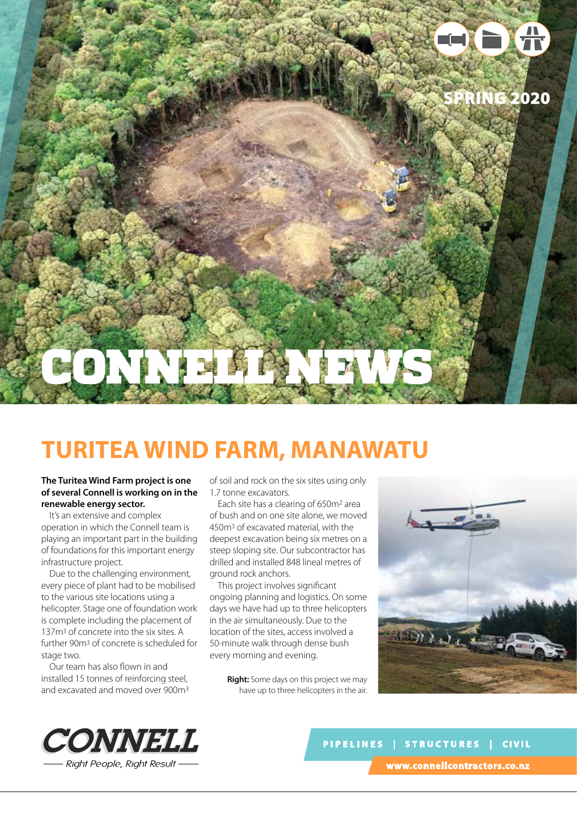

## **Turitea Wind Farm, Manawatu**

### **The Turitea Wind Farm project is one of several Connell is working on in the renewable energy sector.**

It's an extensive and complex operation in which the Connell team is playing an important part in the building of foundations for this important energy infrastructure project.

Due to the challenging environment, every piece of plant had to be mobilised to the various site locations using a helicopter. Stage one of foundation work is complete including the placement of 137m3 of concrete into the six sites. A further 90m3 of concrete is scheduled for stage two.

Our team has also flown in and installed 15 tonnes of reinforcing steel, and excavated and moved over 900m3 of soil and rock on the six sites using only 1.7 tonne excavators.

Each site has a clearing of 650m2 area of bush and on one site alone, we moved 450m3 of excavated material, with the deepest excavation being six metres on a steep sloping site. Our subcontractor has drilled and installed 848 lineal metres of ground rock anchors.

This project involves significant ongoing planning and logistics. On some days we have had up to three helicopters in the air simultaneously. Due to the location of the sites, access involved a 50-minute walk through dense bush every morning and evening.

> **Right:** Some days on this project we may have up to three helicopters in the air.





**PIPELINES | STRUCTURES | CIVIL www.connellcontractors.co.nz**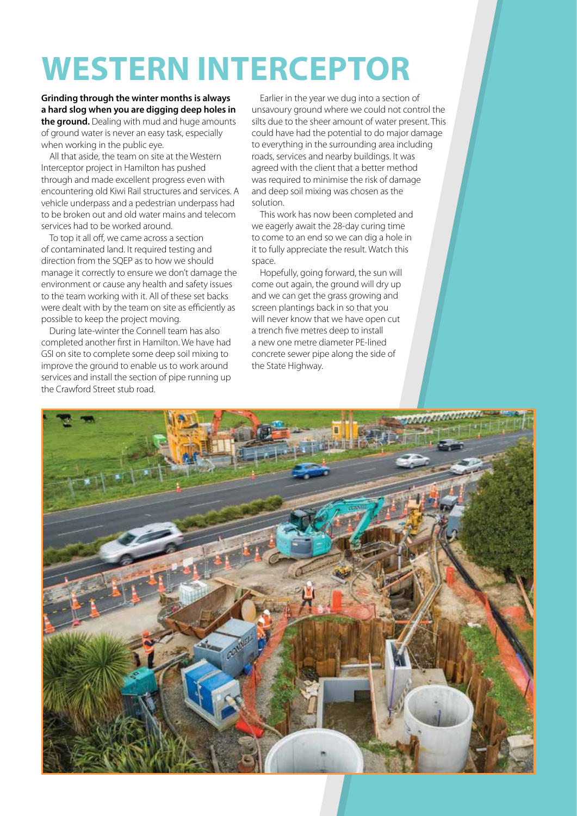## **WESTERN INTERCEPTOR**

**Grinding through the winter months is always a hard slog when you are digging deep holes in the ground.** Dealing with mud and huge amounts of ground water is never an easy task, especially when working in the public eye.

All that aside, the team on site at the Western Interceptor project in Hamilton has pushed through and made excellent progress even with encountering old Kiwi Rail structures and services. A vehicle underpass and a pedestrian underpass had to be broken out and old water mains and telecom services had to be worked around.

To top it all off, we came across a section of contaminated land. It required testing and direction from the SQEP as to how we should manage it correctly to ensure we don't damage the environment or cause any health and safety issues to the team working with it. All of these set backs were dealt with by the team on site as efficiently as possible to keep the project moving.

During late-winter the Connell team has also completed another first in Hamilton. We have had GSI on site to complete some deep soil mixing to improve the ground to enable us to work around services and install the section of pipe running up the Crawford Street stub road.

Earlier in the year we dug into a section of unsavoury ground where we could not control the silts due to the sheer amount of water present. This could have had the potential to do major damage to everything in the surrounding area including roads, services and nearby buildings. It was agreed with the client that a better method was required to minimise the risk of damage and deep soil mixing was chosen as the solution.

This work has now been completed and we eagerly await the 28-day curing time to come to an end so we can dig a hole in it to fully appreciate the result. Watch this space.

Hopefully, going forward, the sun will come out again, the ground will dry up and we can get the grass growing and screen plantings back in so that you will never know that we have open cut a trench five metres deep to install a new one metre diameter PE-lined concrete sewer pipe along the side of the State Highway.

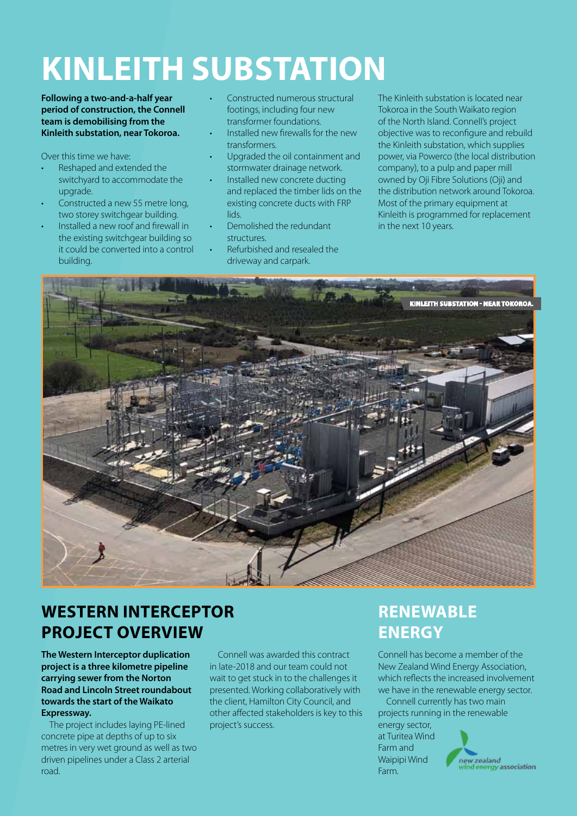# **KINLEITH SUBSTATION**

**Following a two-and-a-half year period of construction, the Connell team is demobilising from the Kinleith substation, near Tokoroa.** 

Over this time we have:

- Reshaped and extended the switchyard to accommodate the upgrade.
- Constructed a new 55 metre long, two storey switchgear building.
- Installed a new roof and firewall in the existing switchgear building so it could be converted into a control building.
- Constructed numerous structural footings, including four new transformer foundations.
- Installed new firewalls for the new transformers.
- Upgraded the oil containment and stormwater drainage network.
- Installed new concrete ducting and replaced the timber lids on the existing concrete ducts with FRP lids.
- Demolished the redundant structures.
- Refurbished and resealed the driveway and carpark.

The Kinleith substation is located near Tokoroa in the South Waikato region of the North Island. Connell's project objective was to reconfigure and rebuild the Kinleith substation, which supplies power, via Powerco (the local distribution company), to a pulp and paper mill owned by Oji Fibre Solutions (Oji) and the distribution network around Tokoroa. Most of the primary equipment at Kinleith is programmed for replacement in the next 10 years.



### **WESTERN INTERCEPTOR PROJECT OVERVIEW**

**The Western Interceptor duplication project is a three kilometre pipeline carrying sewer from the Norton Road and Lincoln Street roundabout towards the start of the Waikato Expressway.** 

The project includes laying PE-lined concrete pipe at depths of up to six metres in very wet ground as well as two driven pipelines under a Class 2 arterial road.

Connell was awarded this contract in late-2018 and our team could not wait to get stuck in to the challenges it presented. Working collaboratively with the client, Hamilton City Council, and other affected stakeholders is key to this project's success.

### **RENEWABLE ENERGY**

Connell has become a member of the New Zealand Wind Energy Association, which reflects the increased involvement we have in the renewable energy sector.

Connell currently has two main projects running in the renewable energy sector,

at Turitea Wind Farm and Waipipi Wind Farm.